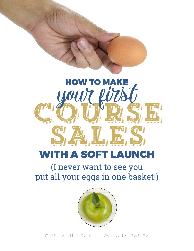

# WITH A SOFT LAUNCH

## (I never want to see you put all your eggs in one basket!)



© 2017 DEBBIE HODGE | TEACH WHAT YOU DO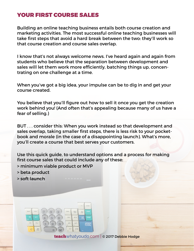## YOUR FIRST COURSE SALES

Building an online teaching business entails both course creation and marketing activities. The most successful online teaching businesses will take first steps that avoid a hard break between the two: they'll work so that course creation and course sales overlap.

I know that's not always welcome news. I've heard again and again from students who believe that the separation between development and sales will let them work more efficiently, batching things up, concentrating on one challenge at a time.

When you've got a big idea, your impulse can be to dig in and get your course created.

You believe that you'll figure out how to sell it once you get the creation work behind you! (And often that's appealing because many of us have a fear of selling.)

BUT . . . consider this: When you work instead so that development and sales overlap, taking smaller first steps, there is less risk to your pocketbook and morale (in the case of a disappointing launch). What's more, you'll create a course that best serves your customers.

Use this quick guide, to understand options and a process for making first course sales that could include any of these:

- > minimum viable product or MVP
- > beta product
- > soft launch



teach[whatyoudo.com](http://teachwhatyoudo.com) | © 2017 Debbie Hodge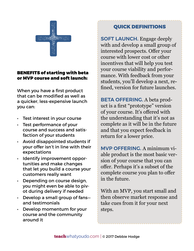

#### BENEFITS of starting with beta or MVP course and soft launch:

When you have a first product that can be modified as well as a quicker, less-expensive launch you can:

- Test interest in your course
- Test performance of your course and success and satisfaction of your students
- • Avoid disappointed students if your offer isn't in line with their expectations
- • Identify improvement opportunities and make changes that let you build a course your customers really want
- Depending on course design, you might even be able to pivot during delivery if needed
- Develop a small group of fansand testimonials
- $\cdot$  Develop momentum for your course and the community around it

## QUICK DEFINITIONS

**SOFT LAUNCH.** Engage deeply with and develop a small group of interested prospects. Offer your course with lower cost or other incentives that will help you test your course viability and performance. With feedback from your students, you'll develop a next, refined, version for future launches.

**BETA OFFERING.** A beta product is a first "prototype" version of your course. It's offered with the understanding that it's not as complete as it will be in the future and that you expect feedback in return for a lower price.

**MVP OFFERING.** A minimum viable product is the most basic version of your course that you can offer. Perhaps it's a subset of the complete course you plan to offer in the future.

With an MVP, you start small and then observe market response and take cues from it for your next steps.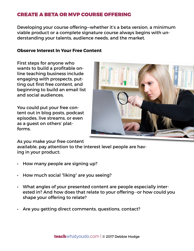### CREATE A BETA OR MVP COURSE OFFERING

Developing your course offering—whether it's a beta version, a minimum viable product or a complete signature course always begins with understanding your talents, audience needs, and the market.

#### **Observe Interest In Your Free Content**

First steps for anyone who wants to build a profitable online teaching business include engaging with prospects, putting out first free content, and beginning to build an email list and social audiences.

You could put your free content out in blog posts, podcast episodes, live streams, or even as a guest on others' platforms.



As you make your free content

available, pay attention to the interest level people are having in your product:

- How many people are signing up?
- How much social "liking" are you seeing?
- What angles of your presented content are people especially interested in? And how does that relate to your offering--or how could you shape your offering to relate?
- Are you getting direct comments, questions, contact?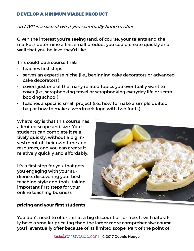#### DEVELOP A MINIMUM VIABLE PRODUCT

an MVP is a slice of what you eventually hope to offer

Given the interest you're seeing (and, of course, your talents and the market), determine a first small product you could create quickly and well that you believe they'd like.

This could be a course that:

- • teaches first steps
- • serves an expertise niche (i.e., beginning cake decorators or advanced cake decorators)
- $\cdot$  covers just one of the many related topics you eventually want to cover (i.e., scrapbooking travel or scrapbooking everyday life or scrapbooking school)
- $\cdot$  teaches a specific small project (i.e., how to make a simple quilted bag or how to make a wordmark logo with two fonts)

What's key is that this course has a limited scope and size. Your students can complete it relatively quickly, without a big investment of their own time and resources, and you can create it relatively quickly and affordably.

It's a first step for you that gets you engaging with your audience, discovering your best teaching style and tools, taking important first steps for your online teaching business.



#### **pricing and your first students**

You don't need to offer this at a big discount or for free. It will naturally have a smaller price tag than the larger more comprehensive course you'll eventually offer because of its limited scope. Part of the point of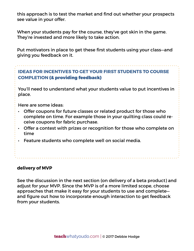this approach is to test the market and find out whether your prospects see value in your offer.

When your students pay for the course, they've got skin in the game. They're invested and more likely to take action.

Put motivators in place to get these first students using your class—and giving you feedback on it.

## **IDEAS FOR INCENTIVES TO GET YOUR FIRST STUDENTS TO COURSE COMPLETION** (& providing feedback)

You'll need to understand what your students value to put incentives in place.

Here are some ideas:

- $\cdot$  Offer coupons for future classes or related product for those who complete on time. For example those in your quilting class could receive coupons for fabric purchase.
- $\cdot$  Offer a contest with prizes or recognition for those who complete on time
- • Feature students who complete well on social media.

#### **delivery of MVP**

See the discussion in the next section (on delivery of a beta product) and adjust for your MVP. Since the MVP is of a more limited scope, choose approaches that make it easy for your students to use and complete and figure out how to incorporate enough interaction to get feedback from your students.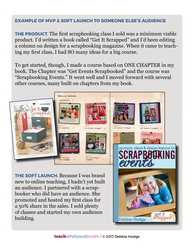#### **EXAMPLE OF MVP & SOFT LAUNCH TO SOMEONE ELSE'S AUDIENCE**

**THE PRODUCT.** The first scrapbooking class I sold was a minimum viable product. I'd written a book called "Get It Scrapped" and I'd been editing a column on design for a scrapbooking magazine. When it came to teaching my first class, I had SO many ideas for a big course.

To get started, though, I made a course based on ONE CHAPTER in my book. The Chapter was "Get Events Scrapbooked" and the course was "Scrapbooking Events." It went well and I moved forward with several other courses, many built on chapters from my book.

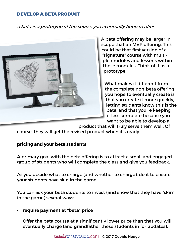#### DEVELOP A BETA PRODUCT

#### a beta is a prototype of the course you eventually hope to offer



A beta offering may be larger in scope that an MVP offering. This could be that first version of a "signature" course with multiple modules and lessons within those modules. Think of it as a prototype.

What makes it different from the complete non-beta offering you hope to eventually create is that you create it more quickly, letting students know this is the beta, and that you're keeping it less complete because you want to be able to develop a

product that will truly serve them well. Of

course, they will get the revised product when it's ready.

#### **pricing and your beta students**

A primary goal with the beta offering is to attract a small and engaged group of students who will complete the class and give you feedback.

As you decide what to charge (and whether to charge), do it to ensure your students have skin in the game.

You can ask your beta students to invest (and show that they have "skin" in the game) several ways:

#### **• require payment at "beta" price**

Offer the beta course at a significantly lower price than that you will eventually charge (and grandfather these students in for updates).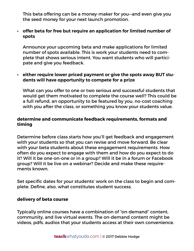This beta offering can be a money-maker for you—and even give you the seed money for your next launch promotion.

#### **• offer beta for free but require an application for limited number of spots**

Announce your upcoming beta and make applications for limited number of spots available. This is work your students need to complete that shows serious intent. You want students who will participate and give you feedback.

#### **• either require lower priced payment or give the spots away BUT students will have opportunity to compete for a prize**

What can you offer to one or two serious and successful students that would get them motivated to complete the course well? This could be a full refund, an opportunity to be featured by you, no-cost coaching with you after the class, or something you know your students value.

#### **determine and communicate feedback requirements, formats and timing**

Determine before class starts how you'll get feedback and engagement with your students so that you can revise and move forward. Be clear with your beta students about these engagement requirements. How often do you expect to engage with them and how do you expect to do it? Will it be one-on-one or in a group? Will it be in a forum or Facebook group? Will it be live on a webinar? Decide and make these requirements known.

Set specific dates for your students' work on the class to begin and complete. Define, also, what constitutes student success.

#### **delivery of beta course**

Typically online courses have a combination of "on-demand" content, community, and live virtual events. The on-demand content might be videos, pdfs, audios that your students access at their own convenience.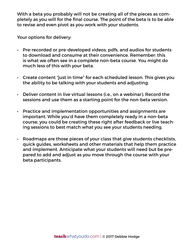With a beta you probably will not be creating all of the pieces as completely as you will for the final course. The point of the beta is to be able to revise and even pivot as you work with your students.

Your options for delivery:

- • Pre-recorded or pre-developed videos, pdfs, and audios for students to download and consume at their convenience. Remember: this is what we often see in a complete non-beta course. You might do much less of this with your beta.
- Create content "just in time" for each scheduled lesson. This gives you the ability to be talking with your students and adjusting.
- • Deliver content in live virtual lessons (i.e., on a webinar). Record the sessions and use them as a starting point for the non-beta version.
- $\cdot$  Practice and implementation opportunities and assignments are important. While you'd have them completely ready in a non-beta course, you could be creating these right after feedback or live teaching sessions to best match what you see your students needing.
- • Roadmaps are those pieces of your class that give students checklists, quick guides, worksheets and other materials that help them practice and implement. Anticipate what your students will need but be prepared to add and adjust as you move through the course with your beta participants.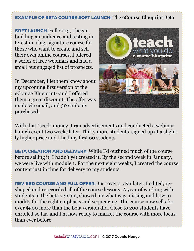## **EXAMPLE OF BETA COURSE SOFT LAUNCH:** The eCourse Blueprint Beta

**SOFT LAUNCH.** Fall 2015, I began building an audience and testing interest in a big, signature course for those who want to create and sell their own online courses. I offered a series of free webinars and had a small but engaged list of prospects.

In December, I let them know about my upcoming first version of the eCourse Blueprint--and I offered them a great discount. The offer was made via email, and 30 students purchased.



With that "seed" money, I ran advertisements and conducted a webinar launch event two weeks later. Thirty more students signed up at a slightly higher price and I had my first 60 students.

**BETA CREATION AND DELIVERY.** While I'd outlined much of the course before selling it, I hadn't yet created it. By the second week in January, we were live with module 1. For the next eight weeks, I created the course content just in time for delivery to my students.

**REVISED COURSE AND FULL OFFER.** Just over a year later, I edited, reshaped and rerecorded all of the course lessons. A year of working with students in the beta version, showed me what was missing and how to modify for the right emphasis and sequencing. The course now sells for over \$500 more than the beta version did. Close to 200 students have enrolled so far, and I'm now ready to market the course with more focus than ever before.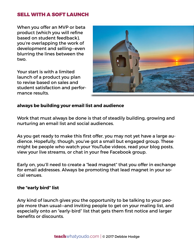#### SELL WITH A SOFT LAUNCH

When you offer an MVP or beta product (which you will refine based on student feedback), you're overlapping the work of development and selling—even blurring the lines between the two.

Your start is with a limited launch of a product you plan to revise based on sales and student satisfaction and performance results.



#### **always be building your email list and audience**

Work that must always be done is that of steadily building, growing and nurturing an email list and social audiences.

As you get ready to make this first offer, you may not yet have a large audience. Hopefully, though, you've got a small but engaged group. These might be people who watch your YouTube videos, read your blog posts, view your live streams, or chat in your free Facebook group.

Early on, you'll need to create a "lead magnet" that you offer in exchange for email addresses. Always be promoting that lead magnet in your social venues.

#### **the "early bird" list**

Any kind of launch gives you the opportunity to be talking to your people more than usual—and inviting people to get on your maling list, and especially onto an "early-bird" list that gets them first notice and larger benefits or discounts.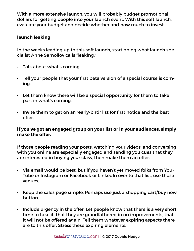With a more extensive launch, you will probably budget promotional dollars for getting people into your launch event. With this soft launch, evaluate your budget and decide whether and how much to invest.

#### **launch leaking**

In the weeks leading up to this soft launch, start doing what launch specialist Anne Samoilov calls "leaking."

- • Talk about what's coming.
- $\cdot$  Tell your people that your first beta version of a special course is coming.
- $\cdot$  Let them know there will be a special opportunity for them to take part in what's coming.
- • Invite them to get on an "early-bird" list for first notice and the best offer.

#### **if you've got an engaged group on your list or in your audiences, simply make the offer.**

If those people reading your posts, watching your videos, and conversing with you online are especially engaged and sending you cues that they are interested in buying your class, then make them an offer.

- • Via email would be best, but if you haven't yet moved folks from You-Tube or Instagram or Facebook or LinkedIn over to that list, use those venues.
- $\cdot$  Keep the sales page simple. Perhaps use just a shopping cart/buy now button.
- $\cdot$  Include urgency in the offer. Let people know that there is a very short time to take it, that they are grandfathered in on improvements, that it will not be offered again. Tell them whatever expiring aspects there are to this offer. Stress these expiring elements.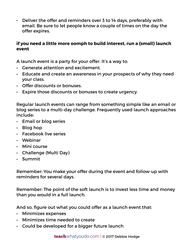$\cdot$  Deliver the offer and reminders over 3 to 14 days, preferably with email. Be sure to let people know a couple of times on the day the offer expires.

#### **if you need a little more oomph to build interest, run a {small} launch event**

A launch event is a party for your offer. It's a way to:

- • Generate attention and excitement.
- • Educate and create an awareness in your prospects of why they need your class.
- • Offer discounts or bonuses.
- • Expire those discounts or bonuses to create urgency.

Regular launch events can range from something simple like an email or blog series to a multi-day challenge. Frequently used launch approaches include:

- • Email or blog series
- $\cdot$  Blog hop
- • Facebook live series
- • Webinar
- • Mini course
- • Challenge (Multi Day)
- • Summit

Remember: You make your offer during the event and follow-up with reminders for several days.

Remember: The point of the soft launch is to invest less time and money than you would in a full launch.

And so, figure out what you could offer as a launch event that:

- • Minimizes expenses
- • Minimizes time needed to create
- $\cdot$  Could be developed for a bigger future launch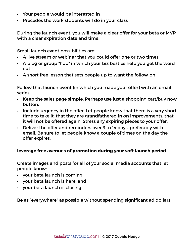- • Your people would be interested in
- • Precedes the work students will do in your class

During the launch event, you will make a clear offer for your beta or MVP with a clear expiration date and time.

Small launch event possibilities are:

- $\cdot$  A live stream or webinar that you could offer one or two times
- $\cdot$  A blog or group "hop" in which your biz besties help you get the word out
- $\cdot$  A short free lesson that sets people up to want the follow-on

Follow that launch event (in which you made your offer) with an email series:

- $\cdot$  Keep the sales page simple. Perhaps use just a shopping cart/buy now button.
- $\cdot$  Include urgency in the offer. Let people know that there is a very short time to take it, that they are grandfathered in on improvements, that it will not be offered again. Stress any expiring pieces to your offer.
- $\cdot$  Deliver the offer and reminders over 3 to 14 days, preferably with email. Be sure to let people know a couple of times on the day the offer expires.

#### **leverage free avenues of promotion during your soft launch period.**

Create images and posts for all of your social media accounts that let people know:

- $\cdot$  your beta launch is coming,
- • your beta launch is here, and
- $\cdot$  your beta launch is closing.

Be as "everywhere" as possible without spending significant ad dollars.